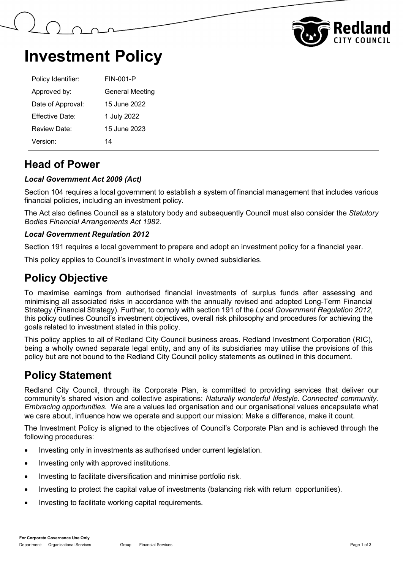



## **Investment Policy**

| Policy Identifier: | FIN-001-P              |  |
|--------------------|------------------------|--|
| Approved by:       | <b>General Meeting</b> |  |
| Date of Approval:  | 15 June 2022           |  |
| Effective Date:    | 1 July 2022            |  |
| Review Date:       | 15 June 2023           |  |
| Version:           | 14                     |  |

### **Head of Power**

#### *Local Government Act 2009 (Act)*

Section 104 requires a local government to establish a system of financial management that includes various financial policies, including an investment policy.

The Act also defines Council as a statutory body and subsequently Council must also consider the *Statutory Bodies Financial Arrangements Act 1982.*

#### *Local Government Regulation 2012*

Section 191 requires a local government to prepare and adopt an investment policy for a financial year.

This policy applies to Council's investment in wholly owned subsidiaries.

### **Policy Objective**

To maximise earnings from authorised financial investments of surplus funds after assessing and minimising all associated risks in accordance with the annually revised and adopted Long-Term Financial Strategy (Financial Strategy). Further, to comply with section 191 of the *Local Government Regulation 2012*, this policy outlines Council's investment objectives, overall risk philosophy and procedures for achieving the goals related to investment stated in this policy.

This policy applies to all of Redland City Council business areas. Redland Investment Corporation (RIC), being a wholly owned separate legal entity, and any of its subsidiaries may utilise the provisions of this policy but are not bound to the Redland City Council policy statements as outlined in this document.

### **Policy Statement**

Redland City Council, through its Corporate Plan, is committed to providing services that deliver our community's shared vision and collective aspirations: *Naturally wonderful lifestyle. Connected community. Embracing opportunities.* We are a values led organisation and our organisational values encapsulate what we care about, influence how we operate and support our mission: Make a difference, make it count.

The Investment Policy is aligned to the objectives of Council's Corporate Plan and is achieved through the following procedures:

- Investing only in investments as authorised under current legislation.
- Investing only with approved institutions.
- Investing to facilitate diversification and minimise portfolio risk.
- Investing to protect the capital value of investments (balancing risk with return opportunities).
- Investing to facilitate working capital requirements.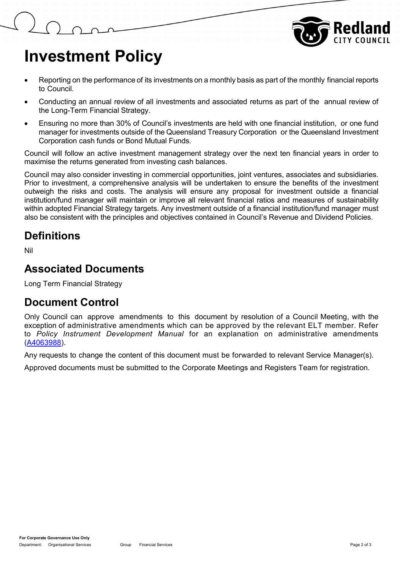

# **Investment Policy**

- Reporting on the performance of its investments on a monthly basis as part of the monthly financial reports to Council.
- Conducting an annual review of all investments and associated returns as part of the annual review of the Long-Term Financial Strategy.
- Ensuring no more than 30% of Council's investments are held with one financial institution, or one fund manager for investments outside of the Queensland Treasury Corporation or the Queensland Investment Corporation cash funds or Bond Mutual Funds.

Council will follow an active investment management strategy over the next ten financial years in order to maximise the returns generated from investing cash balances.

Council may also consider investing in commercial opportunities, joint ventures, associates and subsidiaries. Prior to investment, a comprehensive analysis will be undertaken to ensure the benefits of the investment outweigh the risks and costs. The analysis will ensure any proposal for investment outside a financial institution/fund manager will maintain or improve all relevant financial ratios and measures of sustainability within adopted Financial Strategy targets. Any investment outside of a financial institution/fund manager must also be consistent with the principles and objectives contained in Council's Revenue and Dividend Policies.

### **Definitions**

Nil

### **Associated Documents**

Long Term Financial Strategy

### **Document Control**

Only Council can approve amendments to this document by resolution of a Council Meeting, with the exception of administrative amendments which can be approved by the relevant ELT member. Refer to *Policy Instrument Development Manual* for an explanation on administrative amendments [\(A4063988\)](https://edrms-prd.rccprd.redland.qld.gov.au/id:A4063988/document/versions/published).

Any requests to change the content of this document must be forwarded to relevant Service Manager(s).

Approved documents must be submitted to the Corporate Meetings and Registers Team for registration.